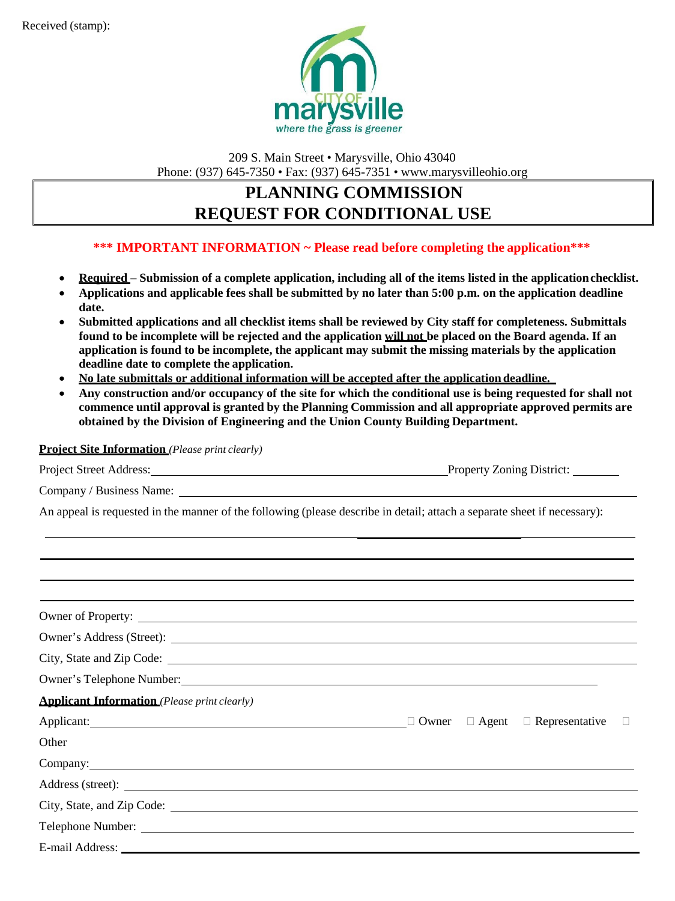

209 S. Main Street • Marysville, Ohio 43040 Phone: (937) 645-7350 • Fax: (937) 645-7351 • [www.marysvilleohio.org](http://www.marysvilleohio.org/)

# **PLANNING COMMISSION REQUEST FOR CONDITIONAL USE**

### **\*\*\* IMPORTANT INFORMATION ~ Please read before completing the application\*\*\***

- **Required – Submission of a complete application, including all of the items listed in the applicationchecklist.**
- **Applications and applicable fees shall be submitted by no later than 5:00 p.m. on the application deadline date.**
- **Submitted applications and all checklist items shall be reviewed by City staff for completeness. Submittals found to be incomplete will be rejected and the application will not be placed on the Board agenda. If an application is found to be incomplete, the applicant may submit the missing materials by the application deadline date to complete the application.**
- **No late submittals or additional information will be accepted after the application deadline.**
- **Any construction and/or occupancy of the site for which the conditional use is being requested for shall not commence until approval is granted by the Planning Commission and all appropriate approved permits are obtained by the Division of Engineering and the Union County Building Department.**

**Project Site Information** *(Please print clearly)*

| <b>Project Street Address:</b> | <b>Property Zoning District:</b> |
|--------------------------------|----------------------------------|
|                                |                                  |

Company / Business Name:

An appeal is requested in the manner of the following (please describe in detail; attach a separate sheet if necessary):

| ,我们也不能会有什么。""我们的人,我们也不能会有什么?""我们的人,我们也不能会有什么?""我们的人,我们也不能会有什么?""我们的人,我们也不能会有什么?""                                                                                                                                              |  |  |
|--------------------------------------------------------------------------------------------------------------------------------------------------------------------------------------------------------------------------------|--|--|
| Owner of Property:                                                                                                                                                                                                             |  |  |
|                                                                                                                                                                                                                                |  |  |
| City, State and Zip Code:                                                                                                                                                                                                      |  |  |
| Owner's Telephone Number: New York Channels and School and School and School and School and School and School and School and School and School and School and School and School and School and School and School and School an |  |  |
| <b>Applicant Information</b> (Please print clearly)                                                                                                                                                                            |  |  |
|                                                                                                                                                                                                                                |  |  |
| Other                                                                                                                                                                                                                          |  |  |
| Company: Company:                                                                                                                                                                                                              |  |  |
|                                                                                                                                                                                                                                |  |  |
|                                                                                                                                                                                                                                |  |  |
|                                                                                                                                                                                                                                |  |  |
| E-mail Address: No. 1996. The Second Second Second Second Second Second Second Second Second Second Second Second Second Second Second Second Second Second Second Second Second Second Second Second Second Second Second Sec |  |  |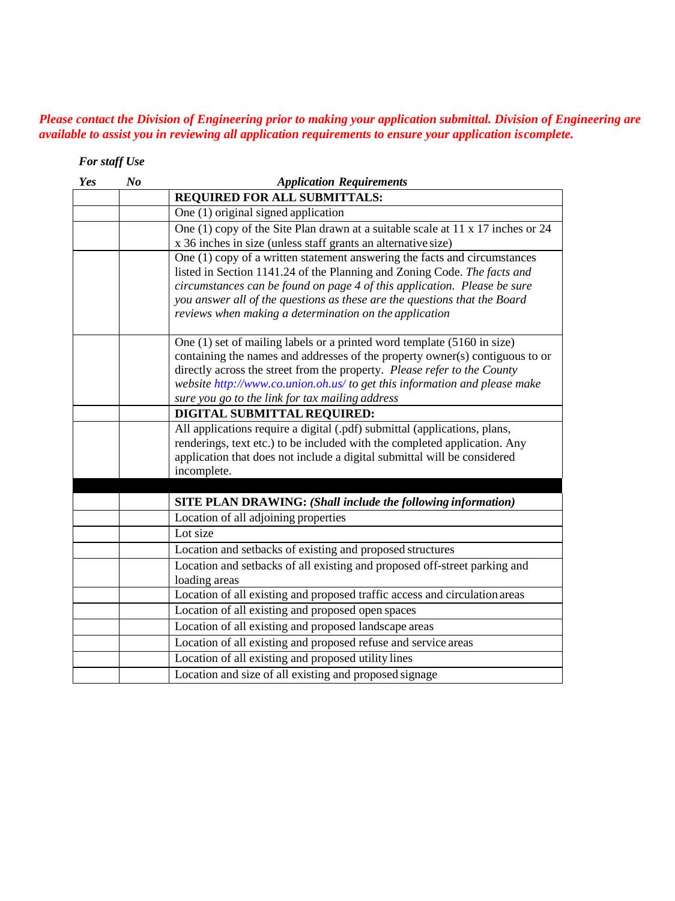### *Please contact the Division of Engineering prior to making your application submittal. Division of Engineering are available to assist you in reviewing all application requirements to ensure your application iscomplete.*

### *For staff Use*

| Yes | N <sub>o</sub> | <b>Application Requirements</b>                                                                                                                                                                                                                                                                                                                                                  |
|-----|----------------|----------------------------------------------------------------------------------------------------------------------------------------------------------------------------------------------------------------------------------------------------------------------------------------------------------------------------------------------------------------------------------|
|     |                | <b>REQUIRED FOR ALL SUBMITTALS:</b>                                                                                                                                                                                                                                                                                                                                              |
|     |                | One (1) original signed application                                                                                                                                                                                                                                                                                                                                              |
|     |                | One (1) copy of the Site Plan drawn at a suitable scale at 11 x 17 inches or 24<br>x 36 inches in size (unless staff grants an alternative size)                                                                                                                                                                                                                                 |
|     |                | One (1) copy of a written statement answering the facts and circumstances<br>listed in Section 1141.24 of the Planning and Zoning Code. The facts and<br>circumstances can be found on page 4 of this application. Please be sure<br>you answer all of the questions as these are the questions that the Board<br>reviews when making a determination on the application         |
|     |                | One $(1)$ set of mailing labels or a printed word template $(5160 \text{ in size})$<br>containing the names and addresses of the property owner(s) contiguous to or<br>directly across the street from the property. Please refer to the County<br>website http://www.co.union.oh.us/ to get this information and please make<br>sure you go to the link for tax mailing address |
|     |                | DIGITAL SUBMITTAL REQUIRED:                                                                                                                                                                                                                                                                                                                                                      |
|     |                | All applications require a digital (.pdf) submittal (applications, plans,<br>renderings, text etc.) to be included with the completed application. Any<br>application that does not include a digital submittal will be considered<br>incomplete.                                                                                                                                |
|     |                |                                                                                                                                                                                                                                                                                                                                                                                  |
|     |                | <b>SITE PLAN DRAWING: (Shall include the following information)</b>                                                                                                                                                                                                                                                                                                              |
|     |                | Location of all adjoining properties                                                                                                                                                                                                                                                                                                                                             |
|     |                | Lot size                                                                                                                                                                                                                                                                                                                                                                         |
|     |                | Location and setbacks of existing and proposed structures                                                                                                                                                                                                                                                                                                                        |
|     |                | Location and setbacks of all existing and proposed off-street parking and<br>loading areas                                                                                                                                                                                                                                                                                       |
|     |                | Location of all existing and proposed traffic access and circulation areas                                                                                                                                                                                                                                                                                                       |
|     |                | Location of all existing and proposed open spaces                                                                                                                                                                                                                                                                                                                                |
|     |                | Location of all existing and proposed landscape areas                                                                                                                                                                                                                                                                                                                            |
|     |                | Location of all existing and proposed refuse and service areas                                                                                                                                                                                                                                                                                                                   |
|     |                | Location of all existing and proposed utility lines                                                                                                                                                                                                                                                                                                                              |
|     |                | Location and size of all existing and proposed signage                                                                                                                                                                                                                                                                                                                           |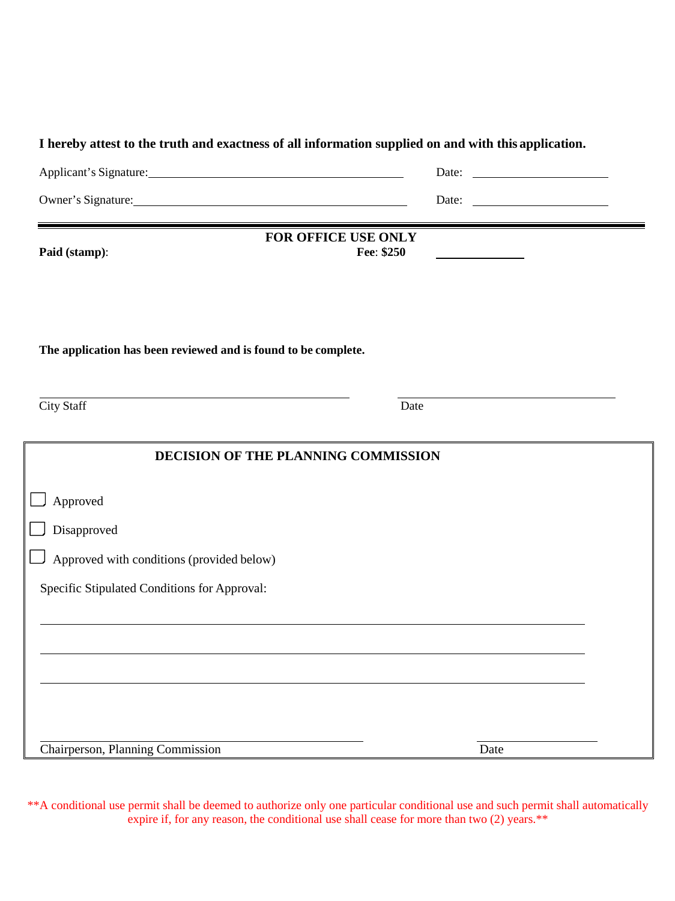| Applicant's Signature:                                         | Date:                                                                         |
|----------------------------------------------------------------|-------------------------------------------------------------------------------|
| Owner's Signature:                                             | Date:<br><u> The Communication of the Communication</u>                       |
|                                                                | FOR OFFICE USE ONLY                                                           |
| Paid (stamp):                                                  | Fee: \$250<br><u> 1980 - Johann Barn, mars an t-Amerikaansk kommunister (</u> |
|                                                                |                                                                               |
|                                                                |                                                                               |
| The application has been reviewed and is found to be complete. |                                                                               |
| <b>City Staff</b>                                              | Date                                                                          |
|                                                                |                                                                               |
|                                                                | DECISION OF THE PLANNING COMMISSION                                           |
| Approved                                                       |                                                                               |
| Disapproved                                                    |                                                                               |
| Approved with conditions (provided below)                      |                                                                               |
| Specific Stipulated Conditions for Approval:                   |                                                                               |
|                                                                |                                                                               |
|                                                                |                                                                               |
|                                                                |                                                                               |
|                                                                |                                                                               |
|                                                                |                                                                               |

\*\*A conditional use permit shall be deemed to authorize only one particular conditional use and such permit shall automatically expire if, for any reason, the conditional use shall cease for more than two (2) years.\*\*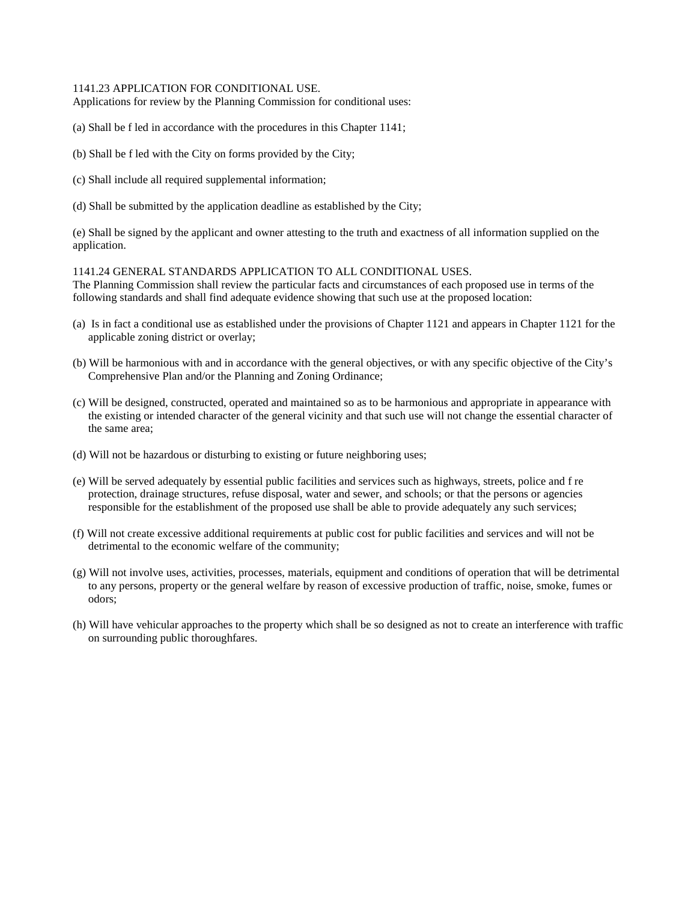#### 1141.23 APPLICATION FOR CONDITIONAL USE.

Applications for review by the Planning Commission for conditional uses:

(a) Shall be f led in accordance with the procedures in this Chapter 1141;

- (b) Shall be f led with the City on forms provided by the City;
- (c) Shall include all required supplemental information;
- (d) Shall be submitted by the application deadline as established by the City;

(e) Shall be signed by the applicant and owner attesting to the truth and exactness of all information supplied on the application.

1141.24 GENERAL STANDARDS APPLICATION TO ALL CONDITIONAL USES.

The Planning Commission shall review the particular facts and circumstances of each proposed use in terms of the following standards and shall find adequate evidence showing that such use at the proposed location:

- (a) Is in fact a conditional use as established under the provisions of Chapter 1121 and appears in Chapter 1121 for the applicable zoning district or overlay;
- (b) Will be harmonious with and in accordance with the general objectives, or with any specific objective of the City's Comprehensive Plan and/or the Planning and Zoning Ordinance;
- (c) Will be designed, constructed, operated and maintained so as to be harmonious and appropriate in appearance with the existing or intended character of the general vicinity and that such use will not change the essential character of the same area;
- (d) Will not be hazardous or disturbing to existing or future neighboring uses;
- (e) Will be served adequately by essential public facilities and services such as highways, streets, police and f re protection, drainage structures, refuse disposal, water and sewer, and schools; or that the persons or agencies responsible for the establishment of the proposed use shall be able to provide adequately any such services;
- (f) Will not create excessive additional requirements at public cost for public facilities and services and will not be detrimental to the economic welfare of the community;
- (g) Will not involve uses, activities, processes, materials, equipment and conditions of operation that will be detrimental to any persons, property or the general welfare by reason of excessive production of traffic, noise, smoke, fumes or odors;
- (h) Will have vehicular approaches to the property which shall be so designed as not to create an interference with traffic on surrounding public thoroughfares.